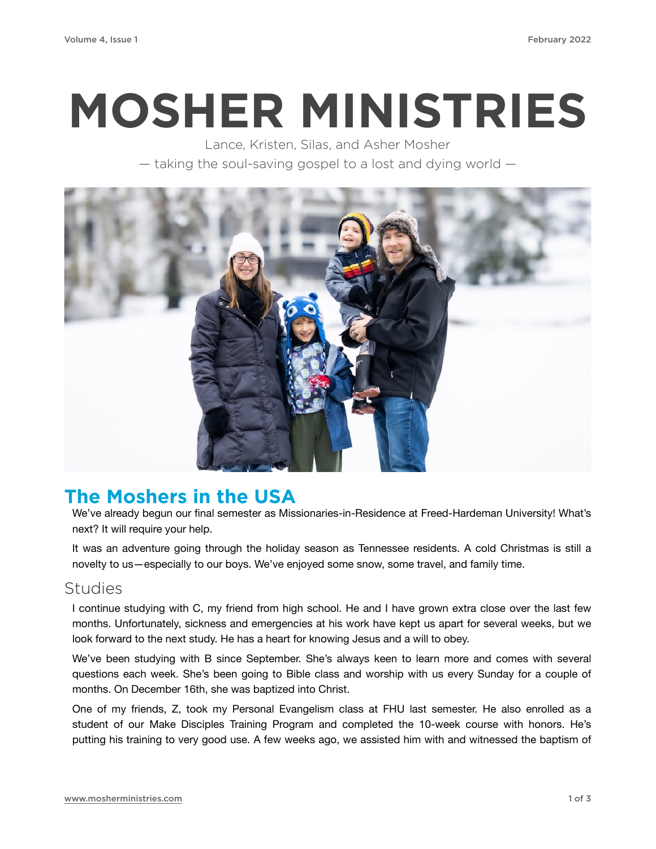# **MOSHER MINISTRIES**

Lance, Kristen, Silas, and Asher Mosher — taking the soul-saving gospel to a lost and dying world —



## **The Moshers in the USA**

We've already begun our final semester as Missionaries-in-Residence at Freed-Hardeman University! What's next? It will require your help.

It was an adventure going through the holiday season as Tennessee residents. A cold Christmas is still a novelty to us—especially to our boys. We've enjoyed some snow, some travel, and family time.

#### Studies

I continue studying with C, my friend from high school. He and I have grown extra close over the last few months. Unfortunately, sickness and emergencies at his work have kept us apart for several weeks, but we look forward to the next study. He has a heart for knowing Jesus and a will to obey.

We've been studying with B since September. She's always keen to learn more and comes with several questions each week. She's been going to Bible class and worship with us every Sunday for a couple of months. On December 16th, she was baptized into Christ.

One of my friends, Z, took my Personal Evangelism class at FHU last semester. He also enrolled as a student of our Make Disciples Training Program and completed the 10-week course with honors. He's putting his training to very good use. A few weeks ago, we assisted him with and witnessed the baptism of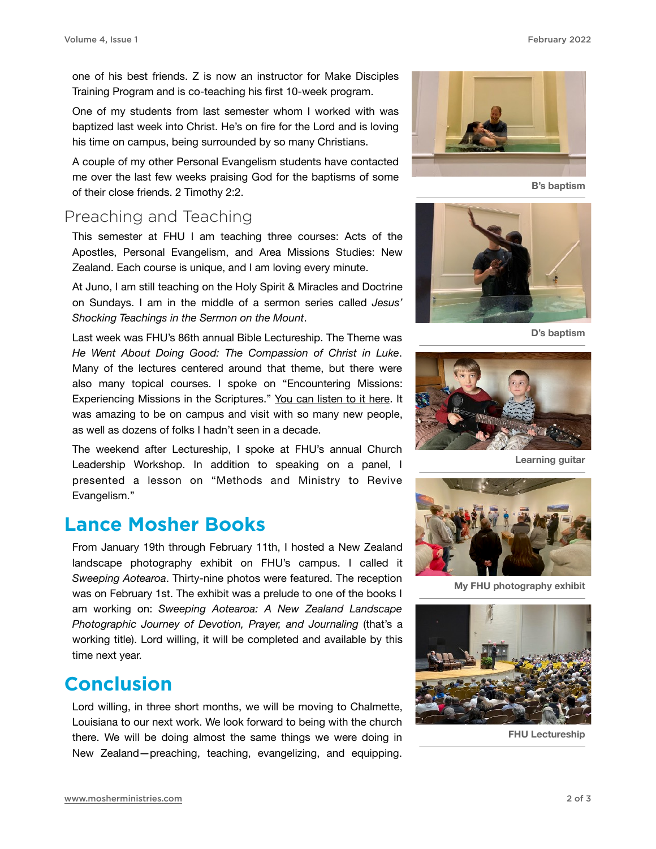one of his best friends. Z is now an instructor for Make Disciples Training Program and is co-teaching his first 10-week program.

One of my students from last semester whom I worked with was baptized last week into Christ. He's on fire for the Lord and is loving his time on campus, being surrounded by so many Christians.

A couple of my other Personal Evangelism students have contacted me over the last few weeks praising God for the baptisms of some of their close friends. 2 Timothy 2:2.

#### Preaching and Teaching

This semester at FHU I am teaching three courses: Acts of the Apostles, Personal Evangelism, and Area Missions Studies: New Zealand. Each course is unique, and I am loving every minute.

At Juno, I am still teaching on the Holy Spirit & Miracles and Doctrine on Sundays. I am in the middle of a sermon series called *Jesus' Shocking Teachings in the Sermon on the Mount*.

Last week was FHU's 86th annual Bible Lectureship. The Theme was *He Went About Doing Good: The Compassion of Christ in Luke*. Many of the lectures centered around that theme, but there were also many topical courses. I spoke on "Encountering Missions: Experiencing Missions in the Scriptures." [You can listen to it here.](https://drive.google.com/file/d/1RAdyGOr8PYlRrSrS2EH1x45_gCJ4YfA6/view) It was amazing to be on campus and visit with so many new people, as well as dozens of folks I hadn't seen in a decade.

The weekend after Lectureship, I spoke at FHU's annual Church Leadership Workshop. In addition to speaking on a panel, I presented a lesson on "Methods and Ministry to Revive Evangelism."

#### **Lance Mosher Books**

From January 19th through February 11th, I hosted a New Zealand landscape photography exhibit on FHU's campus. I called it *Sweeping Aotearoa*. Thirty-nine photos were featured. The reception was on February 1st. The exhibit was a prelude to one of the books I am working on: *Sweeping Aotearoa: A New Zealand Landscape Photographic Journey of Devotion, Prayer, and Journaling* (that's a working title). Lord willing, it will be completed and available by this time next year.

### **Conclusion**

Lord willing, in three short months, we will be moving to Chalmette, Louisiana to our next work. We look forward to being with the church there. We will be doing almost the same things we were doing in New Zealand—preaching, teaching, evangelizing, and equipping.



**B's baptism**



**D's baptism**



**Learning guitar**



**My FHU photography exhibit**



**FHU Lectureship**